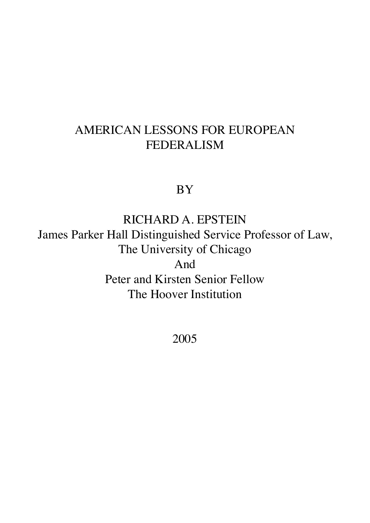# AMERICAN LESSONS FOR EUROPEAN FEDERALISM

BY

RICHARD A. EPSTEIN James Parker Hall Distinguished Service Professor of Law, The University of Chicago And Peter and Kirsten Senior Fellow The Hoover Institution

2005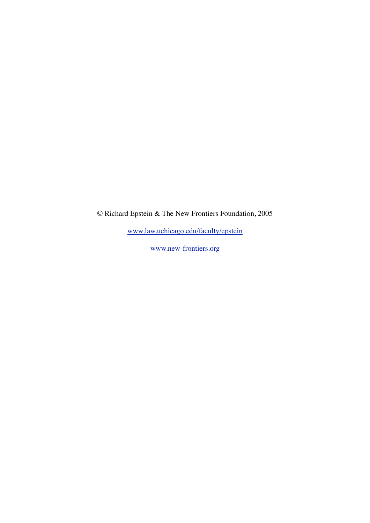© Richard Epstein & The New Frontiers Foundation, 2005

[www.law.uchicago.edu/faculty/epstein](http://www.law.uchicago.edu/faculty/epstein)

[www.new-frontiers.org](http://www.new-frontiers.org)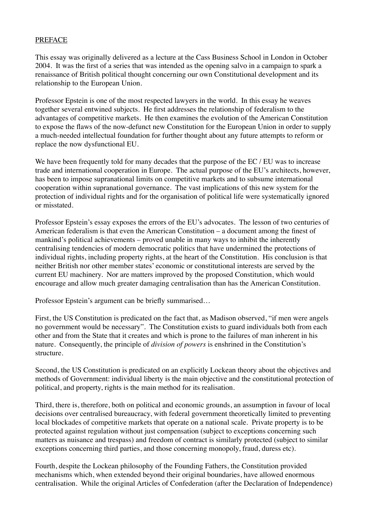# PREFACE

This essay was originally delivered as a lecture at the Cass Business School in London in October 2004. It was the first of a series that was intended as the opening salvo in a campaign to spark a renaissance of British political thought concerning our own Constitutional development and its relationship to the European Union.

Professor Epstein is one of the most respected lawyers in the world. In this essay he weaves together several entwined subjects. He first addresses the relationship of federalism to the advantages of competitive markets. He then examines the evolution of the American Constitution to expose the flaws of the now-defunct new Constitution for the European Union in order to supply a much-needed intellectual foundation for further thought about any future attempts to reform or replace the now dysfunctional EU.

We have been frequently told for many decades that the purpose of the EC / EU was to increase trade and international cooperation in Europe. The actual purpose of the EU's architects, however, has been to impose supranational limits on competitive markets and to subsume international cooperation within supranational governance. The vast implications of this new system for the protection of individual rights and for the organisation of political life were systematically ignored or misstated.

Professor Epstein's essay exposes the errors of the EU's advocates. The lesson of two centuries of American federalism is that even the American Constitution – a document among the finest of mankind's political achievements – proved unable in many ways to inhibit the inherently centralising tendencies of modern democratic politics that have undermined the protections of individual rights, including property rights, at the heart of the Constitution. His conclusion is that neither British nor other member states' economic or constitutional interests are served by the current EU machinery. Nor are matters improved by the proposed Constitution, which would encourage and allow much greater damaging centralisation than has the American Constitution.

Professor Epstein's argument can be briefly summarised…

First, the US Constitution is predicated on the fact that, as Madison observed, "if men were angels no government would be necessary". The Constitution exists to guard individuals both from each other and from the State that it creates and which is prone to the failures of man inherent in his nature. Consequently, the principle of *division of powers* is enshrined in the Constitution's structure.

Second, the US Constitution is predicated on an explicitly Lockean theory about the objectives and methods of Government: individual liberty is the main objective and the constitutional protection of political, and property, rights is the main method for its realisation.

Third, there is, therefore, both on political and economic grounds, an assumption in favour of local decisions over centralised bureaucracy, with federal government theoretically limited to preventing local blockades of competitive markets that operate on a national scale. Private property is to be protected against regulation without just compensation (subject to exceptions concerning such matters as nuisance and trespass) and freedom of contract is similarly protected (subject to similar exceptions concerning third parties, and those concerning monopoly, fraud, duress etc).

Fourth, despite the Lockean philosophy of the Founding Fathers, the Constitution provided mechanisms which, when extended beyond their original boundaries, have allowed enormous centralisation. While the original Articles of Confederation (after the Declaration of Independence)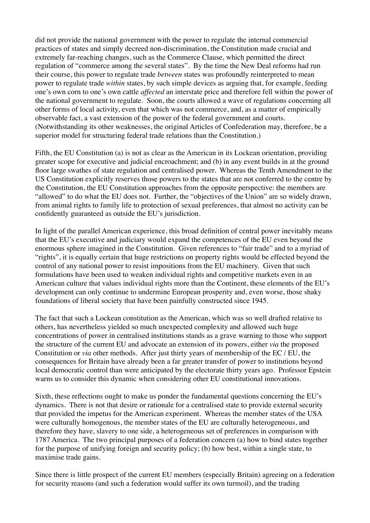did not provide the national government with the power to regulate the internal commercial practices of states and simply decreed non-discrimination, the Constitution made crucial and extremely far-reaching changes, such as the Commerce Clause, which permitted the direct regulation of "commerce among the several states". By the time the New Deal reforms had run their course, this power to regulate trade *between* states was profoundly reinterpreted to mean power to regulate trade *within* states, by such simple devices as arguing that, for example, feeding one's own corn to one's own cattle *affected* an interstate price and therefore fell within the power of the national government to regulate. Soon, the courts allowed a wave of regulations concerning all other forms of local activity, even that which was not commerce, and, as a matter of empirically observable fact, a vast extension of the power of the federal government and courts. (Notwithstanding its other weaknesses, the original Articles of Confederation may, therefore, be a superior model for structuring federal trade relations than the Constitution.)

Fifth, the EU Constitution (a) is not as clear as the American in its Lockean orientation, providing greater scope for executive and judicial encroachment; and (b) in any event builds in at the ground floor large swathes of state regulation and centralised power. Whereas the Tenth Amendment to the US Constitution explicitly reserves those powers to the states that are not conferred to the centre by the Constitution, the EU Constitution approaches from the opposite perspective: the members are "allowed" to do what the EU does not. Further, the "objectives of the Union" are so widely drawn, from animal rights to family life to protection of sexual preferences, that almost no activity can be confidently guaranteed as outside the EU's jurisdiction.

In light of the parallel American experience, this broad definition of central power inevitably means that the EU's executive and judiciary would expand the competences of the EU even beyond the enormous sphere imagined in the Constitution. Given references to "fair trade" and to a myriad of "rights", it is equally certain that huge restrictions on property rights would be effected beyond the control of any national power to resist impositions from the EU machinery. Given that such formulations have been used to weaken individual rights and competitive markets even in an American culture that values individual rights more than the Continent, these elements of the EU's development can only continue to undermine European prosperity and, even worse, those shaky foundations of liberal society that have been painfully constructed since 1945.

The fact that such a Lockean constitution as the American, which was so well drafted relative to others, has nevertheless yielded so much unexpected complexity and allowed such huge concentrations of power in centralised institutions stands as a grave warning to those who support the structure of the current EU and advocate an extension of its powers, either *via* the proposed Constitution or *via* other methods. After just thirty years of membership of the EC / EU, the consequences for Britain have already been a far greater transfer of power to institutions beyond local democratic control than were anticipated by the electorate thirty years ago. Professor Epstein warns us to consider this dynamic when considering other EU constitutional innovations.

Sixth, these reflections ought to make us ponder the fundamental questions concerning the EU's dynamics. There is not that desire or rationale for a centralised state to provide external security that provided the impetus for the American experiment. Whereas the member states of the USA were culturally homogenous, the member states of the EU are culturally heterogeneous, and therefore they have, slavery to one side, a heterogeneous set of preferences in comparison with 1787 America. The two principal purposes of a federation concern (a) how to bind states together for the purpose of unifying foreign and security policy; (b) how best, within a single state, to maximise trade gains.

Since there is little prospect of the current EU members (especially Britain) agreeing on a federation for security reasons (and such a federation would suffer its own turmoil), and the trading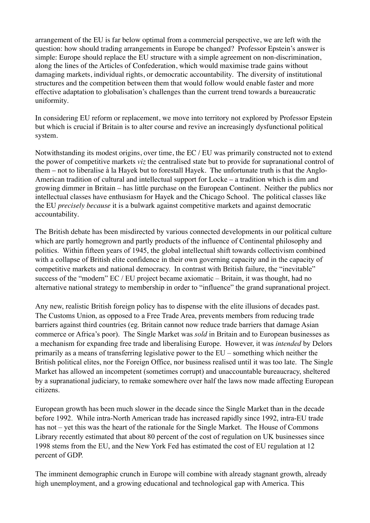arrangement of the EU is far below optimal from a commercial perspective, we are left with the question: how should trading arrangements in Europe be changed? Professor Epstein's answer is simple: Europe should replace the EU structure with a simple agreement on non-discrimination, along the lines of the Articles of Confederation, which would maximise trade gains without damaging markets, individual rights, or democratic accountability. The diversity of institutional structures and the competition between them that would follow would enable faster and more effective adaptation to globalisation's challenges than the current trend towards a bureaucratic uniformity.

In considering EU reform or replacement, we move into territory not explored by Professor Epstein but which is crucial if Britain is to alter course and revive an increasingly dysfunctional political system.

Notwithstanding its modest origins, over time, the EC / EU was primarily constructed not to extend the power of competitive markets *viz* the centralised state but to provide for supranational control of them – not to liberalise à la Hayek but to forestall Hayek. The unfortunate truth is that the Anglo-American tradition of cultural and intellectual support for Locke – a tradition which is dim and growing dimmer in Britain – has little purchase on the European Continent. Neither the publics nor intellectual classes have enthusiasm for Hayek and the Chicago School. The political classes like the EU *precisely because* it is a bulwark against competitive markets and against democratic accountability.

The British debate has been misdirected by various connected developments in our political culture which are partly homegrown and partly products of the influence of Continental philosophy and politics. Within fifteen years of 1945, the global intellectual shift towards collectivism combined with a collapse of British elite confidence in their own governing capacity and in the capacity of competitive markets and national democracy. In contrast with British failure, the "inevitable" success of the "modern" EC / EU project became axiomatic – Britain, it was thought, had no alternative national strategy to membership in order to "influence" the grand supranational project.

Any new, realistic British foreign policy has to dispense with the elite illusions of decades past. The Customs Union, as opposed to a Free Trade Area, prevents members from reducing trade barriers against third countries (eg. Britain cannot now reduce trade barriers that damage Asian commerce or Africa's poor). The Single Market was *sold* in Britain and to European businesses as a mechanism for expanding free trade and liberalising Europe. However, it was *intended* by Delors primarily as a means of transferring legislative power to the EU – something which neither the British political elites, nor the Foreign Office, nor business realised until it was too late. The Single Market has allowed an incompetent (sometimes corrupt) and unaccountable bureaucracy, sheltered by a supranational judiciary, to remake somewhere over half the laws now made affecting European citizens.

European growth has been much slower in the decade since the Single Market than in the decade before 1992. While intra-North American trade has increased rapidly since 1992, intra-EU trade has not – yet this was the heart of the rationale for the Single Market. The House of Commons Library recently estimated that about 80 percent of the cost of regulation on UK businesses since 1998 stems from the EU, and the New York Fed has estimated the cost of EU regulation at 12 percent of GDP.

The imminent demographic crunch in Europe will combine with already stagnant growth, already high unemployment, and a growing educational and technological gap with America. This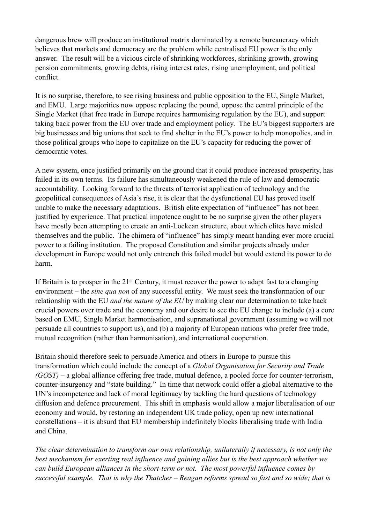dangerous brew will produce an institutional matrix dominated by a remote bureaucracy which believes that markets and democracy are the problem while centralised EU power is the only answer. The result will be a vicious circle of shrinking workforces, shrinking growth, growing pension commitments, growing debts, rising interest rates, rising unemployment, and political conflict.

It is no surprise, therefore, to see rising business and public opposition to the EU, Single Market, and EMU. Large majorities now oppose replacing the pound, oppose the central principle of the Single Market (that free trade in Europe requires harmonising regulation by the EU), and support taking back power from the EU over trade and employment policy. The EU's biggest supporters are big businesses and big unions that seek to find shelter in the EU's power to help monopolies, and in those political groups who hope to capitalize on the EU's capacity for reducing the power of democratic votes.

A new system, once justified primarily on the ground that it could produce increased prosperity, has failed in its own terms. Its failure has simultaneously weakened the rule of law and democratic accountability. Looking forward to the threats of terrorist application of technology and the geopolitical consequences of Asia's rise, it is clear that the dysfunctional EU has proved itself unable to make the necessary adaptations. British elite expectation of "influence" has not been justified by experience. That practical impotence ought to be no surprise given the other players have mostly been attempting to create an anti-Lockean structure, about which elites have misled themselves and the public. The chimera of "influence" has simply meant handing ever more crucial power to a failing institution. The proposed Constitution and similar projects already under development in Europe would not only entrench this failed model but would extend its power to do harm.

If Britain is to prosper in the 21<sup>st</sup> Century, it must recover the power to adapt fast to a changing environment – the *sine qua non* of any successful entity. We must seek the transformation of our relationship with the EU *and the nature of the EU* by making clear our determination to take back crucial powers over trade and the economy and our desire to see the EU change to include (a) a core based on EMU, Single Market harmonisation, and supranational government (assuming we will not persuade all countries to support us), and (b) a majority of European nations who prefer free trade, mutual recognition (rather than harmonisation), and international cooperation.

Britain should therefore seek to persuade America and others in Europe to pursue this transformation which could include the concept of a *Global Organisation for Security and Trade (GOST)* – a global alliance offering free trade, mutual defence, a pooled force for counter-terrorism, counter-insurgency and "state building." In time that network could offer a global alternative to the UN's incompetence and lack of moral legitimacy by tackling the hard questions of technology diffusion and defence procurement. This shift in emphasis would allow a major liberalisation of our economy and would, by restoring an independent UK trade policy, open up new international constellations – it is absurd that EU membership indefinitely blocks liberalising trade with India and China.

*The clear determination to transform our own relationship, unilaterally if necessary, is not only the best mechanism for exerting real influence and gaining allies but is the best approach whether we can build European alliances in the short-term or not. The most powerful influence comes by successful example. That is why the Thatcher – Reagan reforms spread so fast and so wide; that is*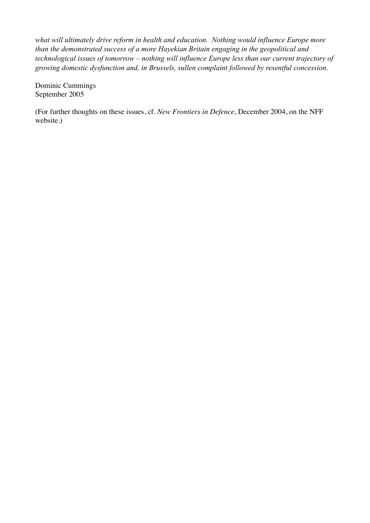*what will ultimately drive reform in health and education. Nothing would influence Europe more than the demonstrated success of a more Hayekian Britain engaging in the geopolitical and technological issues of tomorrow – nothing will influence Europe less than our current trajectory of growing domestic dysfunction and, in Brussels, sullen complaint followed by resentful concession*.

Dominic Cummings September 2005

(For further thoughts on these issues, cf. *New Frontiers in Defence*, December 2004, on the NFF website.)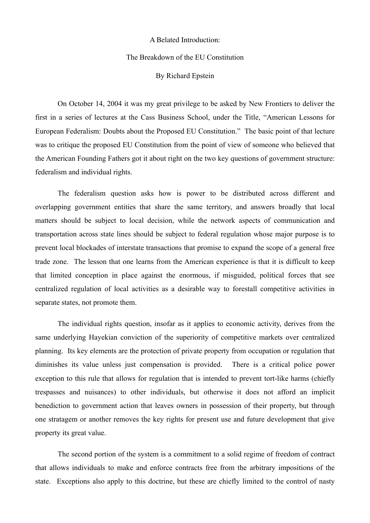#### A Belated Introduction:

## The Breakdown of the EU Constitution

## By Richard Epstein

 On October 14, 2004 it was my great privilege to be asked by New Frontiers to deliver the first in a series of lectures at the Cass Business School, under the Title, "American Lessons for European Federalism: Doubts about the Proposed EU Constitution." The basic point of that lecture was to critique the proposed EU Constitution from the point of view of someone who believed that the American Founding Fathers got it about right on the two key questions of government structure: federalism and individual rights.

The federalism question asks how is power to be distributed across different and overlapping government entities that share the same territory, and answers broadly that local matters should be subject to local decision, while the network aspects of communication and transportation across state lines should be subject to federal regulation whose major purpose is to prevent local blockades of interstate transactions that promise to expand the scope of a general free trade zone. The lesson that one learns from the American experience is that it is difficult to keep that limited conception in place against the enormous, if misguided, political forces that see centralized regulation of local activities as a desirable way to forestall competitive activities in separate states, not promote them.

The individual rights question, insofar as it applies to economic activity, derives from the same underlying Hayekian conviction of the superiority of competitive markets over centralized planning. Its key elements are the protection of private property from occupation or regulation that diminishes its value unless just compensation is provided. There is a critical police power exception to this rule that allows for regulation that is intended to prevent tort-like harms (chiefly trespasses and nuisances) to other individuals, but otherwise it does not afford an implicit benediction to government action that leaves owners in possession of their property, but through one stratagem or another removes the key rights for present use and future development that give property its great value.

The second portion of the system is a commitment to a solid regime of freedom of contract that allows individuals to make and enforce contracts free from the arbitrary impositions of the state. Exceptions also apply to this doctrine, but these are chiefly limited to the control of nasty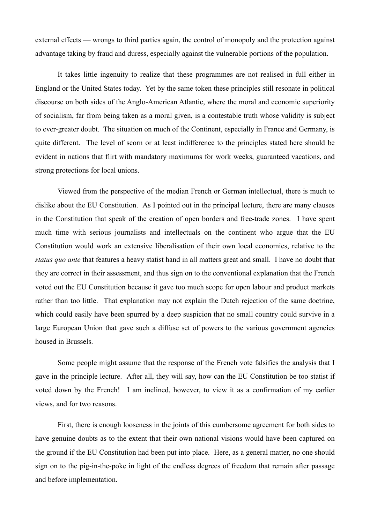external effects — wrongs to third parties again, the control of monopoly and the protection against advantage taking by fraud and duress, especially against the vulnerable portions of the population.

It takes little ingenuity to realize that these programmes are not realised in full either in England or the United States today. Yet by the same token these principles still resonate in political discourse on both sides of the Anglo-American Atlantic, where the moral and economic superiority of socialism, far from being taken as a moral given, is a contestable truth whose validity is subject to ever-greater doubt. The situation on much of the Continent, especially in France and Germany, is quite different. The level of scorn or at least indifference to the principles stated here should be evident in nations that flirt with mandatory maximums for work weeks, guaranteed vacations, and strong protections for local unions.

Viewed from the perspective of the median French or German intellectual, there is much to dislike about the EU Constitution. As I pointed out in the principal lecture, there are many clauses in the Constitution that speak of the creation of open borders and free-trade zones. I have spent much time with serious journalists and intellectuals on the continent who argue that the EU Constitution would work an extensive liberalisation of their own local economies, relative to the *status quo ante* that features a heavy statist hand in all matters great and small. I have no doubt that they are correct in their assessment, and thus sign on to the conventional explanation that the French voted out the EU Constitution because it gave too much scope for open labour and product markets rather than too little. That explanation may not explain the Dutch rejection of the same doctrine, which could easily have been spurred by a deep suspicion that no small country could survive in a large European Union that gave such a diffuse set of powers to the various government agencies housed in Brussels.

Some people might assume that the response of the French vote falsifies the analysis that I gave in the principle lecture. After all, they will say, how can the EU Constitution be too statist if voted down by the French! I am inclined, however, to view it as a confirmation of my earlier views, and for two reasons.

First, there is enough looseness in the joints of this cumbersome agreement for both sides to have genuine doubts as to the extent that their own national visions would have been captured on the ground if the EU Constitution had been put into place. Here, as a general matter, no one should sign on to the pig-in-the-poke in light of the endless degrees of freedom that remain after passage and before implementation.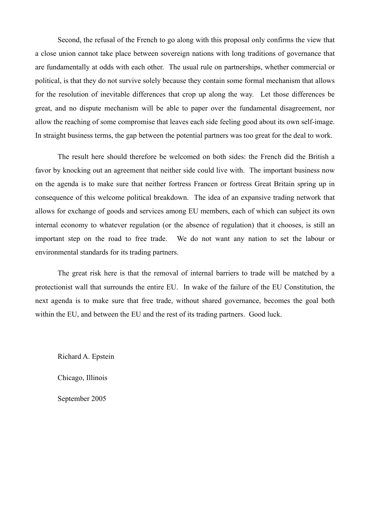Second, the refusal of the French to go along with this proposal only confirms the view that a close union cannot take place between sovereign nations with long traditions of governance that are fundamentally at odds with each other. The usual rule on partnerships, whether commercial or political, is that they do not survive solely because they contain some formal mechanism that allows for the resolution of inevitable differences that crop up along the way. Let those differences be great, and no dispute mechanism will be able to paper over the fundamental disagreement, nor allow the reaching of some compromise that leaves each side feeling good about its own self-image. In straight business terms, the gap between the potential partners was too great for the deal to work.

The result here should therefore be welcomed on both sides: the French did the British a favor by knocking out an agreement that neither side could live with. The important business now on the agenda is to make sure that neither fortress Francen or fortress Great Britain spring up in consequence of this welcome political breakdown. The idea of an expansive trading network that allows for exchange of goods and services among EU members, each of which can subject its own internal economy to whatever regulation (or the absence of regulation) that it chooses, is still an important step on the road to free trade. We do not want any nation to set the labour or environmental standards for its trading partners.

The great risk here is that the removal of internal barriers to trade will be matched by a protectionist wall that surrounds the entire EU. In wake of the failure of the EU Constitution, the next agenda is to make sure that free trade, without shared governance, becomes the goal both within the EU, and between the EU and the rest of its trading partners. Good luck.

Richard A. Epstein

Chicago, Illinois

September 2005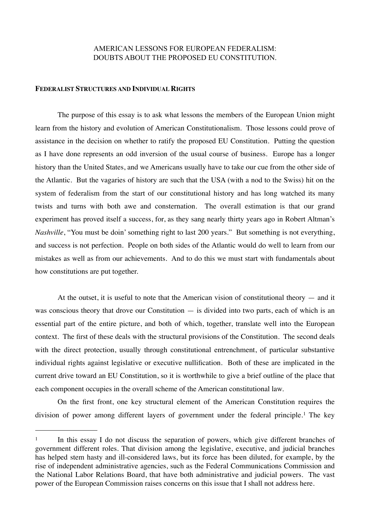# AMERICAN LESSONS FOR EUROPEAN FEDERALISM: DOUBTS ABOUT THE PROPOSED EU CONSTITUTION.

#### **FEDERALIST STRUCTURES AND INDIVIDUAL RIGHTS**

The purpose of this essay is to ask what lessons the members of the European Union might learn from the history and evolution of American Constitutionalism. Those lessons could prove of assistance in the decision on whether to ratify the proposed EU Constitution. Putting the question as I have done represents an odd inversion of the usual course of business. Europe has a longer history than the United States, and we Americans usually have to take our cue from the other side of the Atlantic. But the vagaries of history are such that the USA (with a nod to the Swiss) hit on the system of federalism from the start of our constitutional history and has long watched its many twists and turns with both awe and consternation. The overall estimation is that our grand experiment has proved itself a success, for, as they sang nearly thirty years ago in Robert Altman's *Nashville*, "You must be doin' something right to last 200 years." But something is not everything, and success is not perfection. People on both sides of the Atlantic would do well to learn from our mistakes as well as from our achievements. And to do this we must start with fundamentals about how constitutions are put together.

At the outset, it is useful to note that the American vision of constitutional theory — and it was conscious theory that drove our Constitution — is divided into two parts, each of which is an essential part of the entire picture, and both of which, together, translate well into the European context. The first of these deals with the structural provisions of the Constitution. The second deals with the direct protection, usually through constitutional entrenchment, of particular substantive individual rights against legislative or executive nullification. Both of these are implicated in the current drive toward an EU Constitution, so it is worthwhile to give a brief outline of the place that each component occupies in the overall scheme of the American constitutional law.

On the first front, one key structural element of the American Constitution requires the division of power among different layers of government under the federal principle.[1](#page-11-0) The key

<span id="page-11-0"></span><sup>&</sup>lt;sup>1</sup> In this essay I do not discuss the separation of powers, which give different branches of government different roles. That division among the legislative, executive, and judicial branches has helped stem hasty and ill-considered laws, but its force has been diluted, for example, by the rise of independent administrative agencies, such as the Federal Communications Commission and the National Labor Relations Board, that have both administrative and judicial powers. The vast power of the European Commission raises concerns on this issue that I shall not address here.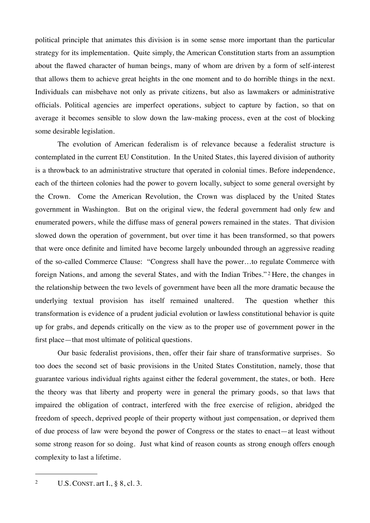political principle that animates this division is in some sense more important than the particular strategy for its implementation. Quite simply, the American Constitution starts from an assumption about the flawed character of human beings, many of whom are driven by a form of self-interest that allows them to achieve great heights in the one moment and to do horrible things in the next. Individuals can misbehave not only as private citizens, but also as lawmakers or administrative officials. Political agencies are imperfect operations, subject to capture by faction, so that on average it becomes sensible to slow down the law-making process, even at the cost of blocking some desirable legislation.

The evolution of American federalism is of relevance because a federalist structure is contemplated in the current EU Constitution. In the United States, this layered division of authority is a throwback to an administrative structure that operated in colonial times. Before independence, each of the thirteen colonies had the power to govern locally, subject to some general oversight by the Crown. Come the American Revolution, the Crown was displaced by the United States government in Washington. But on the original view, the federal government had only few and enumerated powers, while the diffuse mass of general powers remained in the states. That division slowed down the operation of government, but over time it has been transformed, so that powers that were once definite and limited have become largely unbounded through an aggressive reading of the so-called Commerce Clause: "Congress shall have the power…to regulate Commerce with foreign Nations, and among the several States, and with the Indian Tribes." [2](#page-12-0) Here, the changes in the relationship between the two levels of government have been all the more dramatic because the underlying textual provision has itself remained unaltered. The question whether this transformation is evidence of a prudent judicial evolution or lawless constitutional behavior is quite up for grabs, and depends critically on the view as to the proper use of government power in the first place—that most ultimate of political questions.

Our basic federalist provisions, then, offer their fair share of transformative surprises. So too does the second set of basic provisions in the United States Constitution, namely, those that guarantee various individual rights against either the federal government, the states, or both. Here the theory was that liberty and property were in general the primary goods, so that laws that impaired the obligation of contract, interfered with the free exercise of religion, abridged the freedom of speech, deprived people of their property without just compensation, or deprived them of due process of law were beyond the power of Congress or the states to enact—at least without some strong reason for so doing. Just what kind of reason counts as strong enough offers enough complexity to last a lifetime.

<span id="page-12-0"></span><sup>&</sup>lt;sup>2</sup> U.S. CONST. art I.,  $\S$  8, cl. 3.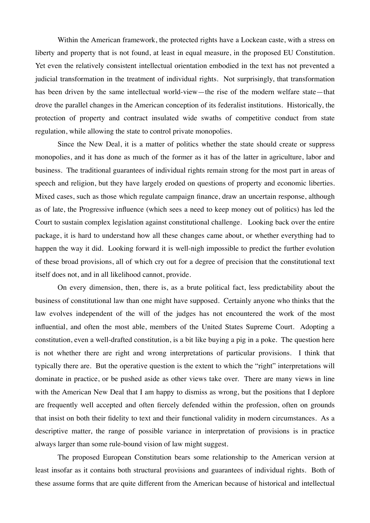Within the American framework, the protected rights have a Lockean caste, with a stress on liberty and property that is not found, at least in equal measure, in the proposed EU Constitution. Yet even the relatively consistent intellectual orientation embodied in the text has not prevented a judicial transformation in the treatment of individual rights. Not surprisingly, that transformation has been driven by the same intellectual world-view—the rise of the modern welfare state—that drove the parallel changes in the American conception of its federalist institutions. Historically, the protection of property and contract insulated wide swaths of competitive conduct from state regulation, while allowing the state to control private monopolies.

Since the New Deal, it is a matter of politics whether the state should create or suppress monopolies, and it has done as much of the former as it has of the latter in agriculture, labor and business. The traditional guarantees of individual rights remain strong for the most part in areas of speech and religion, but they have largely eroded on questions of property and economic liberties. Mixed cases, such as those which regulate campaign finance, draw an uncertain response, although as of late, the Progressive influence (which sees a need to keep money out of politics) has led the Court to sustain complex legislation against constitutional challenge. Looking back over the entire package, it is hard to understand how all these changes came about, or whether everything had to happen the way it did. Looking forward it is well-nigh impossible to predict the further evolution of these broad provisions, all of which cry out for a degree of precision that the constitutional text itself does not, and in all likelihood cannot, provide.

On every dimension, then, there is, as a brute political fact, less predictability about the business of constitutional law than one might have supposed. Certainly anyone who thinks that the law evolves independent of the will of the judges has not encountered the work of the most influential, and often the most able, members of the United States Supreme Court. Adopting a constitution, even a well-drafted constitution, is a bit like buying a pig in a poke. The question here is not whether there are right and wrong interpretations of particular provisions. I think that typically there are. But the operative question is the extent to which the "right" interpretations will dominate in practice, or be pushed aside as other views take over. There are many views in line with the American New Deal that I am happy to dismiss as wrong, but the positions that I deplore are frequently well accepted and often fiercely defended within the profession, often on grounds that insist on both their fidelity to text and their functional validity in modern circumstances. As a descriptive matter, the range of possible variance in interpretation of provisions is in practice always larger than some rule-bound vision of law might suggest.

The proposed European Constitution bears some relationship to the American version at least insofar as it contains both structural provisions and guarantees of individual rights. Both of these assume forms that are quite different from the American because of historical and intellectual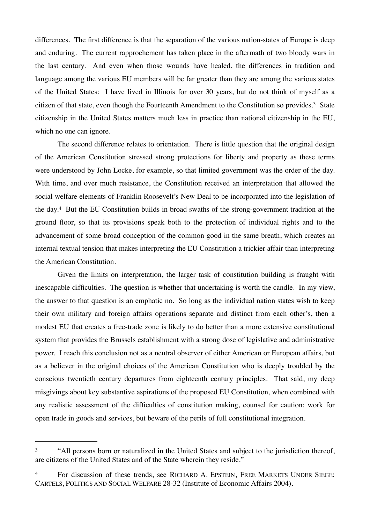differences. The first difference is that the separation of the various nation-states of Europe is deep and enduring. The current rapprochement has taken place in the aftermath of two bloody wars in the last century. And even when those wounds have healed, the differences in tradition and language among the various EU members will be far greater than they are among the various states of the United States: I have lived in Illinois for over 30 years, but do not think of myself as a citizen of that state, even though the Fourteenth Amendment to the Constitution so provides.[3](#page-14-0) State citizenship in the United States matters much less in practice than national citizenship in the EU, which no one can ignore.

The second difference relates to orientation. There is little question that the original design of the American Constitution stressed strong protections for liberty and property as these terms were understood by John Locke, for example, so that limited government was the order of the day. With time, and over much resistance, the Constitution received an interpretation that allowed the social welfare elements of Franklin Roosevelt's New Deal to be incorporated into the legislation of the day.[4](#page-14-1) But the EU Constitution builds in broad swaths of the strong-government tradition at the ground floor, so that its provisions speak both to the protection of individual rights and to the advancement of some broad conception of the common good in the same breath, which creates an internal textual tension that makes interpreting the EU Constitution a trickier affair than interpreting the American Constitution.

Given the limits on interpretation, the larger task of constitution building is fraught with inescapable difficulties. The question is whether that undertaking is worth the candle. In my view, the answer to that question is an emphatic no. So long as the individual nation states wish to keep their own military and foreign affairs operations separate and distinct from each other's, then a modest EU that creates a free-trade zone is likely to do better than a more extensive constitutional system that provides the Brussels establishment with a strong dose of legislative and administrative power. I reach this conclusion not as a neutral observer of either American or European affairs, but as a believer in the original choices of the American Constitution who is deeply troubled by the conscious twentieth century departures from eighteenth century principles. That said, my deep misgivings about key substantive aspirations of the proposed EU Constitution, when combined with any realistic assessment of the difficulties of constitution making, counsel for caution: work for open trade in goods and services, but beware of the perils of full constitutional integration.

<span id="page-14-0"></span><sup>&</sup>lt;sup>3</sup> "All persons born or naturalized in the United States and subject to the jurisdiction thereof, are citizens of the United States and of the State wherein they reside."

<span id="page-14-1"></span><sup>&</sup>lt;sup>4</sup> For discussion of these trends, see RICHARD A. EPSTEIN, FREE MARKETS UNDER SIEGE: CARTELS, POLITICS AND SOCIAL WELFARE 28-32 (Institute of Economic Affairs 2004).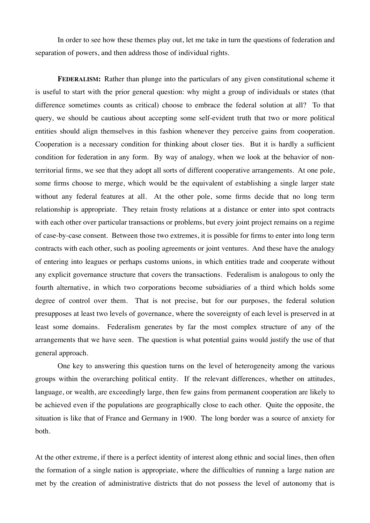In order to see how these themes play out, let me take in turn the questions of federation and separation of powers, and then address those of individual rights.

**FEDERALISM:** Rather than plunge into the particulars of any given constitutional scheme it is useful to start with the prior general question: why might a group of individuals or states (that difference sometimes counts as critical) choose to embrace the federal solution at all? To that query, we should be cautious about accepting some self-evident truth that two or more political entities should align themselves in this fashion whenever they perceive gains from cooperation. Cooperation is a necessary condition for thinking about closer ties. But it is hardly a sufficient condition for federation in any form. By way of analogy, when we look at the behavior of nonterritorial firms, we see that they adopt all sorts of different cooperative arrangements. At one pole, some firms choose to merge, which would be the equivalent of establishing a single larger state without any federal features at all. At the other pole, some firms decide that no long term relationship is appropriate. They retain frosty relations at a distance or enter into spot contracts with each other over particular transactions or problems, but every joint project remains on a regime of case-by-case consent. Between those two extremes, it is possible for firms to enter into long term contracts with each other, such as pooling agreements or joint ventures. And these have the analogy of entering into leagues or perhaps customs unions, in which entities trade and cooperate without any explicit governance structure that covers the transactions. Federalism is analogous to only the fourth alternative, in which two corporations become subsidiaries of a third which holds some degree of control over them. That is not precise, but for our purposes, the federal solution presupposes at least two levels of governance, where the sovereignty of each level is preserved in at least some domains. Federalism generates by far the most complex structure of any of the arrangements that we have seen. The question is what potential gains would justify the use of that general approach.

One key to answering this question turns on the level of heterogeneity among the various groups within the overarching political entity. If the relevant differences, whether on attitudes, language, or wealth, are exceedingly large, then few gains from permanent cooperation are likely to be achieved even if the populations are geographically close to each other. Quite the opposite, the situation is like that of France and Germany in 1900. The long border was a source of anxiety for both.

At the other extreme, if there is a perfect identity of interest along ethnic and social lines, then often the formation of a single nation is appropriate, where the difficulties of running a large nation are met by the creation of administrative districts that do not possess the level of autonomy that is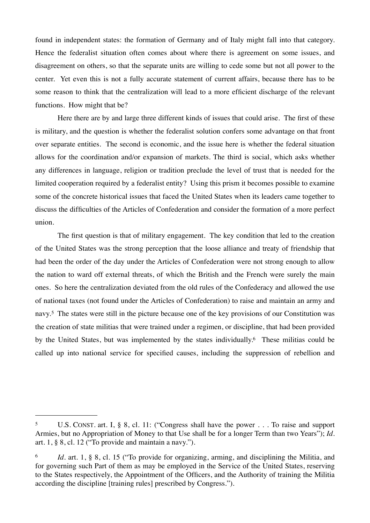found in independent states: the formation of Germany and of Italy might fall into that category. Hence the federalist situation often comes about where there is agreement on some issues, and disagreement on others, so that the separate units are willing to cede some but not all power to the center. Yet even this is not a fully accurate statement of current affairs, because there has to be some reason to think that the centralization will lead to a more efficient discharge of the relevant functions. How might that be?

Here there are by and large three different kinds of issues that could arise. The first of these is military, and the question is whether the federalist solution confers some advantage on that front over separate entities. The second is economic, and the issue here is whether the federal situation allows for the coordination and/or expansion of markets. The third is social, which asks whether any differences in language, religion or tradition preclude the level of trust that is needed for the limited cooperation required by a federalist entity? Using this prism it becomes possible to examine some of the concrete historical issues that faced the United States when its leaders came together to discuss the difficulties of the Articles of Confederation and consider the formation of a more perfect union.

The first question is that of military engagement. The key condition that led to the creation of the United States was the strong perception that the loose alliance and treaty of friendship that had been the order of the day under the Articles of Confederation were not strong enough to allow the nation to ward off external threats, of which the British and the French were surely the main ones. So here the centralization deviated from the old rules of the Confederacy and allowed the use of national taxes (not found under the Articles of Confederation) to raise and maintain an army and navy.[5](#page-16-0) The states were still in the picture because one of the key provisions of our Constitution was the creation of state militias that were trained under a regimen, or discipline, that had been provided by the United States, but was implemented by the states individually[.6](#page-16-1) These militias could be called up into national service for specified causes, including the suppression of rebellion and

<span id="page-16-0"></span><sup>5</sup> U.S. CONST. art. I, § 8, cl. 11: ("Congress shall have the power . . . To raise and support Armies, but no Appropriation of Money to that Use shall be for a longer Term than two Years"); *Id*. art. 1, § 8, cl. 12 ("To provide and maintain a navy.").

<span id="page-16-1"></span><sup>6</sup> *Id.* art. 1, § 8, cl. 15 ("To provide for organizing, arming, and disciplining the Militia, and for governing such Part of them as may be employed in the Service of the United States, reserving to the States respectively, the Appointment of the Officers, and the Authority of training the Militia according the discipline [training rules] prescribed by Congress.").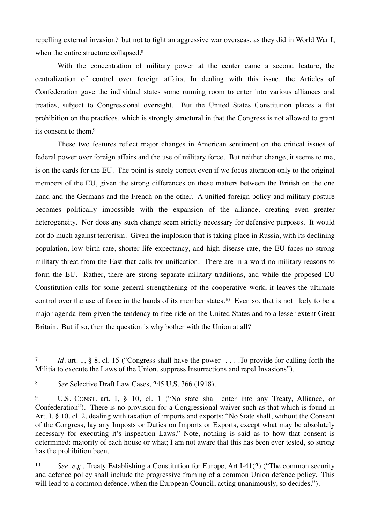repelling external invasion,<sup>7</sup> but not to fight an aggressive war overseas, as they did in World War I, when the entire structure collapsed.<sup>[8](#page-17-1)</sup>

With the concentration of military power at the center came a second feature, the centralization of control over foreign affairs. In dealing with this issue, the Articles of Confederation gave the individual states some running room to enter into various alliances and treaties, subject to Congressional oversight. But the United States Constitution places a flat prohibition on the practices, which is strongly structural in that the Congress is not allowed to grant its consent to them[.9](#page-17-2)

These two features reflect major changes in American sentiment on the critical issues of federal power over foreign affairs and the use of military force. But neither change, it seems to me, is on the cards for the EU. The point is surely correct even if we focus attention only to the original members of the EU, given the strong differences on these matters between the British on the one hand and the Germans and the French on the other. A unified foreign policy and military posture becomes politically impossible with the expansion of the alliance, creating even greater heterogeneity. Nor does any such change seem strictly necessary for defensive purposes. It would not do much against terrorism. Given the implosion that is taking place in Russia, with its declining population, low birth rate, shorter life expectancy, and high disease rate, the EU faces no strong military threat from the East that calls for unification. There are in a word no military reasons to form the EU. Rather, there are strong separate military traditions, and while the proposed EU Constitution calls for some general strengthening of the cooperative work, it leaves the ultimate control over the use of force in the hands of its member states.<sup>10</sup> Even so, that is not likely to be a major agenda item given the tendency to free-ride on the United States and to a lesser extent Great Britain. But if so, then the question is why bother with the Union at all?

<span id="page-17-0"></span><sup>7</sup> *Id.* art. 1, § 8, cl. 15 ("Congress shall have the power . . . .To provide for calling forth the Militia to execute the Laws of the Union, suppress Insurrections and repel Invasions").

<span id="page-17-1"></span><sup>8</sup> *See* Selective Draft Law Cases, 245 U.S. 366 (1918).

<span id="page-17-2"></span><sup>9</sup> U.S. CONST. art. I, § 10, cl. 1 ("No state shall enter into any Treaty, Alliance, or Confederation"). There is no provision for a Congressional waiver such as that which is found in Art. I, § 10, cl. 2, dealing with taxation of imports and exports: "No State shall, without the Consent of the Congress, lay any Imposts or Duties on Imports or Exports, except what may be absolutely necessary for executing it's inspection Laws." Note, nothing is said as to how that consent is determined: majority of each house or what; I am not aware that this has been ever tested, so strong has the prohibition been.

<span id="page-17-3"></span><sup>10</sup> *See, e.g.,* Treaty Establishing a Constitution for Europe, Art I-41(2) ("The common security and defence policy shall include the progressive framing of a common Union defence policy. This will lead to a common defence, when the European Council, acting unanimously, so decides.").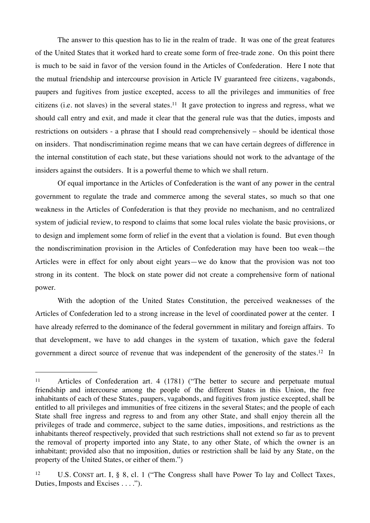The answer to this question has to lie in the realm of trade. It was one of the great features of the United States that it worked hard to create some form of free-trade zone. On this point there is much to be said in favor of the version found in the Articles of Confederation. Here I note that the mutual friendship and intercourse provision in Article IV guaranteed free citizens, vagabonds, paupers and fugitives from justice excepted, access to all the privileges and immunities of free citizens (i.e. not slaves) in the several states.[11](#page-18-0) It gave protection to ingress and regress, what we should call entry and exit, and made it clear that the general rule was that the duties, imposts and restrictions on outsiders - a phrase that I should read comprehensively – should be identical those on insiders. That nondiscrimination regime means that we can have certain degrees of difference in the internal constitution of each state, but these variations should not work to the advantage of the insiders against the outsiders. It is a powerful theme to which we shall return.

Of equal importance in the Articles of Confederation is the want of any power in the central government to regulate the trade and commerce among the several states, so much so that one weakness in the Articles of Confederation is that they provide no mechanism, and no centralized system of judicial review, to respond to claims that some local rules violate the basic provisions, or to design and implement some form of relief in the event that a violation is found. But even though the nondiscrimination provision in the Articles of Confederation may have been too weak—the Articles were in effect for only about eight years—we do know that the provision was not too strong in its content. The block on state power did not create a comprehensive form of national power.

With the adoption of the United States Constitution, the perceived weaknesses of the Articles of Confederation led to a strong increase in the level of coordinated power at the center. I have already referred to the dominance of the federal government in military and foreign affairs. To that development, we have to add changes in the system of taxation, which gave the federal government a direct source of revenue that was independent of the generosity of the states.[12](#page-18-1) In

<span id="page-18-0"></span><sup>11</sup> Articles of Confederation art. 4 (1781) ("The better to secure and perpetuate mutual friendship and intercourse among the people of the different States in this Union, the free inhabitants of each of these States, paupers, vagabonds, and fugitives from justice excepted, shall be entitled to all privileges and immunities of free citizens in the several States; and the people of each State shall free ingress and regress to and from any other State, and shall enjoy therein all the privileges of trade and commerce, subject to the same duties, impositions, and restrictions as the inhabitants thereof respectively, provided that such restrictions shall not extend so far as to prevent the removal of property imported into any State, to any other State, of which the owner is an inhabitant; provided also that no imposition, duties or restriction shall be laid by any State, on the property of the United States, or either of them.")

<span id="page-18-1"></span><sup>12</sup> U.S. CONST art. I, § 8, cl. 1 ("The Congress shall have Power To lay and Collect Taxes, Duties, Imposts and Excises . . . .").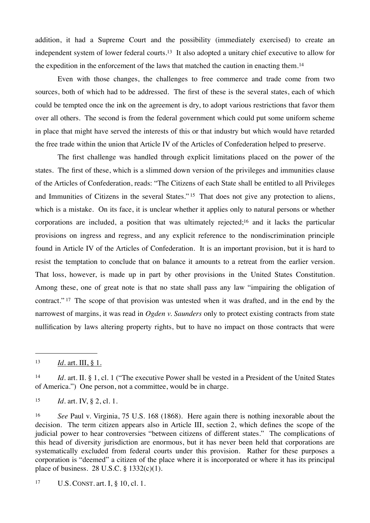addition, it had a Supreme Court and the possibility (immediately exercised) to create an independent system of lower federal courts.[13](#page-19-0) It also adopted a unitary chief executive to allow for the expedition in the enforcement of the laws that matched the caution in enacting them.[14](#page-19-1)

Even with those changes, the challenges to free commerce and trade come from two sources, both of which had to be addressed. The first of these is the several states, each of which could be tempted once the ink on the agreement is dry, to adopt various restrictions that favor them over all others. The second is from the federal government which could put some uniform scheme in place that might have served the interests of this or that industry but which would have retarded the free trade within the union that Article IV of the Articles of Confederation helped to preserve.

The first challenge was handled through explicit limitations placed on the power of the states. The first of these, which is a slimmed down version of the privileges and immunities clause of the Articles of Confederation, reads: "The Citizens of each State shall be entitled to all Privileges and Immunities of Citizens in the several States." [15](#page-19-2) That does not give any protection to aliens, which is a mistake. On its face, it is unclear whether it applies only to natural persons or whether corporations are included, a position that was ultimately rejected[;16](#page-19-3) and it lacks the particular provisions on ingress and regress, and any explicit reference to the nondiscrimination principle found in Article IV of the Articles of Confederation. It is an important provision, but it is hard to resist the temptation to conclude that on balance it amounts to a retreat from the earlier version. That loss, however, is made up in part by other provisions in the United States Constitution. Among these, one of great note is that no state shall pass any law "impairing the obligation of contract." [17](#page-19-4) The scope of that provision was untested when it was drafted, and in the end by the narrowest of margins, it was read in *Ogden v. Saunders* only to protect existing contracts from state nullification by laws altering property rights, but to have no impact on those contracts that were

<span id="page-19-0"></span><sup>13</sup> *Id.* art. III, § 1.

<span id="page-19-1"></span><sup>14</sup> *Id.* art. II. § 1, cl. 1 ("The executive Power shall be vested in a President of the United States of America.") One person, not a committee, would be in charge.

<span id="page-19-2"></span><sup>15</sup> *Id.* art. IV, § 2, cl. 1.

<span id="page-19-3"></span><sup>16</sup> *See* Paul v. Virginia, 75 U.S. 168 (1868). Here again there is nothing inexorable about the decision. The term citizen appears also in Article III, section 2, which defines the scope of the judicial power to hear controversies "between citizens of different states." The complications of this head of diversity jurisdiction are enormous, but it has never been held that corporations are systematically excluded from federal courts under this provision. Rather for these purposes a corporation is "deemed" a citizen of the place where it is incorporated or where it has its principal place of business. 28 U.S.C. § 1332(c)(1).

<span id="page-19-4"></span><sup>17</sup> U.S. CONST. art. I, § 10, cl. 1.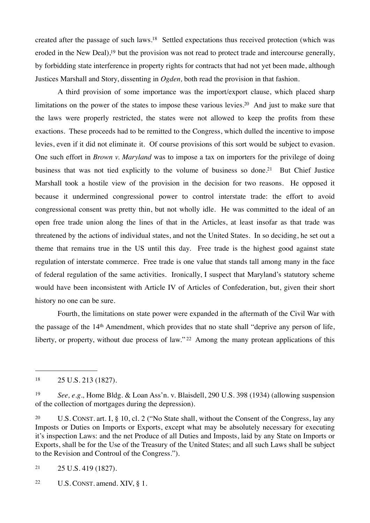created after the passage of such laws[.18](#page-20-0) Settled expectations thus received protection (which was eroded in the New Deal),<sup>19</sup> but the provision was not read to protect trade and intercourse generally, by forbidding state interference in property rights for contracts that had not yet been made, although Justices Marshall and Story, dissenting in *Ogden,* both read the provision in that fashion.

A third provision of some importance was the import/export clause, which placed sharp limitations on the power of the states to impose these various levies.<sup>20</sup> And just to make sure that the laws were properly restricted, the states were not allowed to keep the profits from these exactions. These proceeds had to be remitted to the Congress, which dulled the incentive to impose levies, even if it did not eliminate it. Of course provisions of this sort would be subject to evasion. One such effort in *Brown v. Maryland* was to impose a tax on importers for the privilege of doing business that was not tied explicitly to the volume of business so done.<sup>21</sup> But Chief Justice Marshall took a hostile view of the provision in the decision for two reasons. He opposed it because it undermined congressional power to control interstate trade: the effort to avoid congressional consent was pretty thin, but not wholly idle. He was committed to the ideal of an open free trade union along the lines of that in the Articles, at least insofar as that trade was threatened by the actions of individual states, and not the United States. In so deciding, he set out a theme that remains true in the US until this day. Free trade is the highest good against state regulation of interstate commerce. Free trade is one value that stands tall among many in the face of federal regulation of the same activities. Ironically, I suspect that Maryland's statutory scheme would have been inconsistent with Article IV of Articles of Confederation, but, given their short history no one can be sure.

Fourth, the limitations on state power were expanded in the aftermath of the Civil War with the passage of the 14th Amendment, which provides that no state shall "deprive any person of life, liberty, or property, without due process of law."<sup>22</sup> Among the many protean applications of this

<span id="page-20-0"></span><sup>18</sup> 25 U.S. 213 (1827).

<span id="page-20-1"></span><sup>19</sup> *See, e.g.,* Home Bldg. & Loan Ass'n. v. Blaisdell, 290 U.S. 398 (1934) (allowing suspension of the collection of mortgages during the depression).

<span id="page-20-2"></span><sup>20</sup> U.S. CONST. art. I, § 10, cl. 2 ("No State shall, without the Consent of the Congress, lay any Imposts or Duties on Imports or Exports, except what may be absolutely necessary for executing it's inspection Laws: and the net Produce of all Duties and Imposts, laid by any State on Imports or Exports, shall be for the Use of the Treasury of the United States; and all such Laws shall be subject to the Revision and Controul of the Congress.").

<span id="page-20-3"></span> $21 \qquad 25 \text{ U.S. } 419 \text{ (1827)}.$ 

<span id="page-20-4"></span><sup>&</sup>lt;sup>22</sup> U.S. CONST. amend. XIV,  $\S$  1.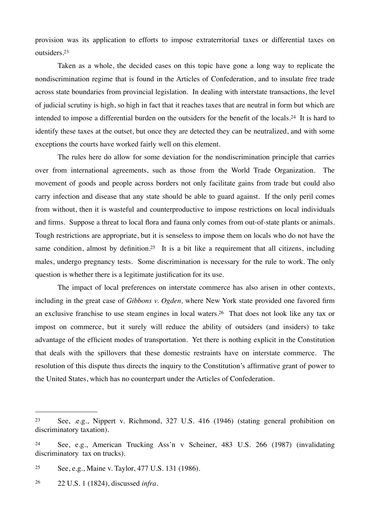provision was its application to efforts to impose extraterritorial taxes or differential taxes on outsiders[.23](#page-21-0)

Taken as a whole, the decided cases on this topic have gone a long way to replicate the nondiscrimination regime that is found in the Articles of Confederation, and to insulate free trade across state boundaries from provincial legislation. In dealing with interstate transactions, the level of judicial scrutiny is high, so high in fact that it reaches taxes that are neutral in form but which are intended to impose a differential burden on the outsiders for the benefit of the locals.[24](#page-21-1) It is hard to identify these taxes at the outset, but once they are detected they can be neutralized, and with some exceptions the courts have worked fairly well on this element.

The rules here do allow for some deviation for the nondiscrimination principle that carries over from international agreements, such as those from the World Trade Organization. The movement of goods and people across borders not only facilitate gains from trade but could also carry infection and disease that any state should be able to guard against. If the only peril comes from without, then it is wasteful and counterproductive to impose restrictions on local individuals and firms. Suppose a threat to local flora and fauna only comes from out-of-state plants or animals. Tough restrictions are appropriate, but it is senseless to impose them on locals who do not have the same condition, almost by definition.<sup>25</sup> It is a bit like a requirement that all citizens, including males, undergo pregnancy tests. Some discrimination is necessary for the rule to work. The only question is whether there is a legitimate justification for its use.

The impact of local preferences on interstate commerce has also arisen in other contexts, including in the great case of *Gibbons v. Ogden,* where New York state provided one favored firm an exclusive franchise to use steam engines in local waters[.26](#page-21-3) That does not look like any tax or impost on commerce, but it surely will reduce the ability of outsiders (and insiders) to take advantage of the efficient modes of transportation. Yet there is nothing explicit in the Constitution that deals with the spillovers that these domestic restraints have on interstate commerce. The resolution of this dispute thus directs the inquiry to the Constitution's affirmative grant of power to the United States, which has no counterpart under the Articles of Confederation.

<span id="page-21-0"></span><sup>23</sup> See, .e.g., Nippert v. Richmond, 327 U.S. 416 (1946) (stating general prohibition on discriminatory taxation).

<span id="page-21-1"></span><sup>24</sup> See, e.g., American Trucking Ass'n v Scheiner, 483 U.S. 266 (1987) (invalidating discriminatory tax on trucks).

<span id="page-21-2"></span><sup>25</sup> See, e.g., Maine v. Taylor, 477 U.S. 131 (1986).

<span id="page-21-3"></span><sup>26</sup> 22 U.S. 1 (1824), discussed *infra*.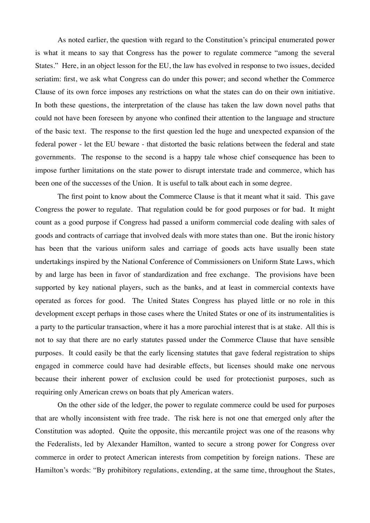As noted earlier, the question with regard to the Constitution's principal enumerated power is what it means to say that Congress has the power to regulate commerce "among the several States." Here, in an object lesson for the EU, the law has evolved in response to two issues, decided seriatim: first, we ask what Congress can do under this power; and second whether the Commerce Clause of its own force imposes any restrictions on what the states can do on their own initiative. In both these questions, the interpretation of the clause has taken the law down novel paths that could not have been foreseen by anyone who confined their attention to the language and structure of the basic text. The response to the first question led the huge and unexpected expansion of the federal power - let the EU beware - that distorted the basic relations between the federal and state governments. The response to the second is a happy tale whose chief consequence has been to impose further limitations on the state power to disrupt interstate trade and commerce, which has been one of the successes of the Union. It is useful to talk about each in some degree.

The first point to know about the Commerce Clause is that it meant what it said. This gave Congress the power to regulate. That regulation could be for good purposes or for bad. It might count as a good purpose if Congress had passed a uniform commercial code dealing with sales of goods and contracts of carriage that involved deals with more states than one. But the ironic history has been that the various uniform sales and carriage of goods acts have usually been state undertakings inspired by the National Conference of Commissioners on Uniform State Laws, which by and large has been in favor of standardization and free exchange. The provisions have been supported by key national players, such as the banks, and at least in commercial contexts have operated as forces for good. The United States Congress has played little or no role in this development except perhaps in those cases where the United States or one of its instrumentalities is a party to the particular transaction, where it has a more parochial interest that is at stake. All this is not to say that there are no early statutes passed under the Commerce Clause that have sensible purposes. It could easily be that the early licensing statutes that gave federal registration to ships engaged in commerce could have had desirable effects, but licenses should make one nervous because their inherent power of exclusion could be used for protectionist purposes, such as requiring only American crews on boats that ply American waters.

On the other side of the ledger, the power to regulate commerce could be used for purposes that are wholly inconsistent with free trade. The risk here is not one that emerged only after the Constitution was adopted. Quite the opposite, this mercantile project was one of the reasons why the Federalists, led by Alexander Hamilton, wanted to secure a strong power for Congress over commerce in order to protect American interests from competition by foreign nations. These are Hamilton's words: "By prohibitory regulations, extending, at the same time, throughout the States,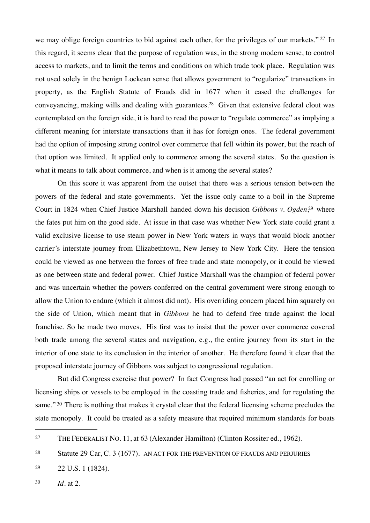we may oblige foreign countries to bid against each other, for the privileges of our markets."<sup>27</sup> In this regard, it seems clear that the purpose of regulation was, in the strong modern sense, to control access to markets, and to limit the terms and conditions on which trade took place. Regulation was not used solely in the benign Lockean sense that allows government to "regularize" transactions in property, as the English Statute of Frauds did in 1677 when it eased the challenges for conveyancing, making wills and dealing with guarantees.[28](#page-23-1) Given that extensive federal clout was contemplated on the foreign side, it is hard to read the power to "regulate commerce" as implying a different meaning for interstate transactions than it has for foreign ones. The federal government had the option of imposing strong control over commerce that fell within its power, but the reach of that option was limited. It applied only to commerce among the several states. So the question is what it means to talk about commerce, and when is it among the several states?

On this score it was apparent from the outset that there was a serious tension between the powers of the federal and state governments. Yet the issue only came to a boil in the Supreme Court in 1824 when Chief Justice Marshall handed down his decision *Gibbons v. Ogden*, [29](#page-23-2) where the fates put him on the good side. At issue in that case was whether New York state could grant a valid exclusive license to use steam power in New York waters in ways that would block another carrier's interstate journey from Elizabethtown, New Jersey to New York City. Here the tension could be viewed as one between the forces of free trade and state monopoly, or it could be viewed as one between state and federal power. Chief Justice Marshall was the champion of federal power and was uncertain whether the powers conferred on the central government were strong enough to allow the Union to endure (which it almost did not). His overriding concern placed him squarely on the side of Union, which meant that in *Gibbons* he had to defend free trade against the local franchise. So he made two moves. His first was to insist that the power over commerce covered both trade among the several states and navigation, e.g., the entire journey from its start in the interior of one state to its conclusion in the interior of another. He therefore found it clear that the proposed interstate journey of Gibbons was subject to congressional regulation.

But did Congress exercise that power? In fact Congress had passed "an act for enrolling or licensing ships or vessels to be employed in the coasting trade and fisheries, and for regulating the same." <sup>30</sup> There is nothing that makes it crystal clear that the federal licensing scheme precludes the state monopoly. It could be treated as a safety measure that required minimum standards for boats

<span id="page-23-3"></span><sup>30</sup> *Id.* at 2.

<span id="page-23-0"></span><sup>27</sup> THE FEDERALIST NO. 11, at 63 (Alexander Hamilton) (Clinton Rossiter ed., 1962).

<span id="page-23-1"></span><sup>28</sup> Statute 29 Car, C. 3 (1677). AN ACT FOR THE PREVENTION OF FRAUDS AND PERJURIES

<span id="page-23-2"></span><sup>29</sup> 22 U.S. 1 (1824).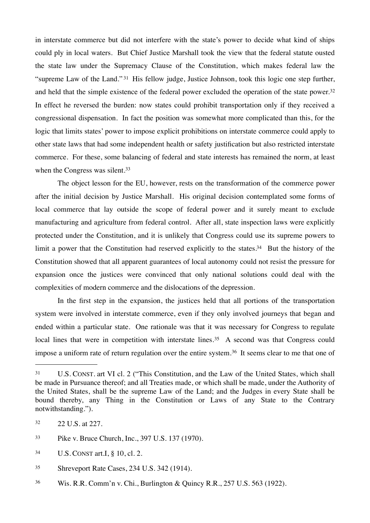in interstate commerce but did not interfere with the state's power to decide what kind of ships could ply in local waters. But Chief Justice Marshall took the view that the federal statute ousted the state law under the Supremacy Clause of the Constitution, which makes federal law the "supreme Law of the Land." [31](#page-24-0) His fellow judge, Justice Johnson, took this logic one step further, and held that the simple existence of the federal power excluded the operation of the state power.[32](#page-24-1) In effect he reversed the burden: now states could prohibit transportation only if they received a congressional dispensation. In fact the position was somewhat more complicated than this, for the logic that limits states' power to impose explicit prohibitions on interstate commerce could apply to other state laws that had some independent health or safety justification but also restricted interstate commerce. For these, some balancing of federal and state interests has remained the norm, at least when the Congress was silent.<sup>[33](#page-24-2)</sup>

The object lesson for the EU, however, rests on the transformation of the commerce power after the initial decision by Justice Marshall. His original decision contemplated some forms of local commerce that lay outside the scope of federal power and it surely meant to exclude manufacturing and agriculture from federal control. After all, state inspection laws were explicitly protected under the Constitution, and it is unlikely that Congress could use its supreme powers to limit a power that the Constitution had reserved explicitly to the states.<sup>34</sup> But the history of the Constitution showed that all apparent guarantees of local autonomy could not resist the pressure for expansion once the justices were convinced that only national solutions could deal with the complexities of modern commerce and the dislocations of the depression.

In the first step in the expansion, the justices held that all portions of the transportation system were involved in interstate commerce, even if they only involved journeys that began and ended within a particular state. One rationale was that it was necessary for Congress to regulate local lines that were in competition with interstate lines.<sup>35</sup> A second was that Congress could impose a uniform rate of return regulation over the entire system.<sup>36</sup> It seems clear to me that one of

<span id="page-24-0"></span><sup>31</sup> U.S. CONST. art VI cl. 2 ("This Constitution, and the Law of the United States, which shall be made in Pursuance thereof; and all Treaties made, or which shall be made, under the Authority of the United States, shall be the supreme Law of the Land; and the Judges in every State shall be bound thereby, any Thing in the Constitution or Laws of any State to the Contrary notwithstanding.").

<span id="page-24-1"></span><sup>32</sup> 22 U.S. at 227.

<span id="page-24-2"></span><sup>33</sup> Pike v. Bruce Church, Inc., 397 U.S. 137 (1970).

<span id="page-24-3"></span><sup>34</sup> U.S. CONST art.I, § 10, cl. 2.

<span id="page-24-4"></span><sup>35</sup> Shreveport Rate Cases, 234 U.S. 342 (1914).

<span id="page-24-5"></span><sup>36</sup> Wis. R.R. Comm'n v. Chi., Burlington & Quincy R.R., 257 U.S. 563 (1922).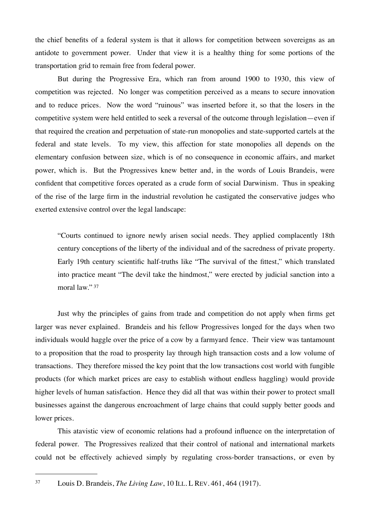the chief benefits of a federal system is that it allows for competition between sovereigns as an antidote to government power. Under that view it is a healthy thing for some portions of the transportation grid to remain free from federal power.

But during the Progressive Era, which ran from around 1900 to 1930, this view of competition was rejected. No longer was competition perceived as a means to secure innovation and to reduce prices. Now the word "ruinous" was inserted before it, so that the losers in the competitive system were held entitled to seek a reversal of the outcome through legislation—even if that required the creation and perpetuation of state-run monopolies and state-supported cartels at the federal and state levels. To my view, this affection for state monopolies all depends on the elementary confusion between size, which is of no consequence in economic affairs, and market power, which is. But the Progressives knew better and, in the words of Louis Brandeis, were confident that competitive forces operated as a crude form of social Darwinism. Thus in speaking of the rise of the large firm in the industrial revolution he castigated the conservative judges who exerted extensive control over the legal landscape:

"Courts continued to ignore newly arisen social needs. They applied complacently 18th century conceptions of the liberty of the individual and of the sacredness of private property. Early 19th century scientific half-truths like "The survival of the fittest," which translated into practice meant "The devil take the hindmost," were erected by judicial sanction into a moral law." [37](#page-25-0)

Just why the principles of gains from trade and competition do not apply when firms get larger was never explained. Brandeis and his fellow Progressives longed for the days when two individuals would haggle over the price of a cow by a farmyard fence. Their view was tantamount to a proposition that the road to prosperity lay through high transaction costs and a low volume of transactions. They therefore missed the key point that the low transactions cost world with fungible products (for which market prices are easy to establish without endless haggling) would provide higher levels of human satisfaction. Hence they did all that was within their power to protect small businesses against the dangerous encroachment of large chains that could supply better goods and lower prices.

This atavistic view of economic relations had a profound influence on the interpretation of federal power. The Progressives realized that their control of national and international markets could not be effectively achieved simply by regulating cross-border transactions, or even by

<span id="page-25-0"></span><sup>37</sup> Louis D. Brandeis, *The Living Law*, 10 ILL. L REV. 461, 464 (1917).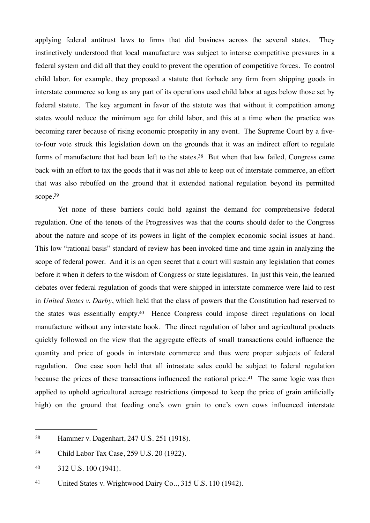applying federal antitrust laws to firms that did business across the several states. They instinctively understood that local manufacture was subject to intense competitive pressures in a federal system and did all that they could to prevent the operation of competitive forces. To control child labor, for example, they proposed a statute that forbade any firm from shipping goods in interstate commerce so long as any part of its operations used child labor at ages below those set by federal statute. The key argument in favor of the statute was that without it competition among states would reduce the minimum age for child labor, and this at a time when the practice was becoming rarer because of rising economic prosperity in any event. The Supreme Court by a fiveto-four vote struck this legislation down on the grounds that it was an indirect effort to regulate forms of manufacture that had been left to the states.<sup>38</sup> But when that law failed, Congress came back with an effort to tax the goods that it was not able to keep out of interstate commerce, an effort that was also rebuffed on the ground that it extended national regulation beyond its permitted scope.<sup>39</sup>

Yet none of these barriers could hold against the demand for comprehensive federal regulation. One of the tenets of the Progressives was that the courts should defer to the Congress about the nature and scope of its powers in light of the complex economic social issues at hand. This low "rational basis" standard of review has been invoked time and time again in analyzing the scope of federal power. And it is an open secret that a court will sustain any legislation that comes before it when it defers to the wisdom of Congress or state legislatures. In just this vein, the learned debates over federal regulation of goods that were shipped in interstate commerce were laid to rest in *United States v. Darby*, which held that the class of powers that the Constitution had reserved to the states was essentially empty.[40](#page-26-2) Hence Congress could impose direct regulations on local manufacture without any interstate hook. The direct regulation of labor and agricultural products quickly followed on the view that the aggregate effects of small transactions could influence the quantity and price of goods in interstate commerce and thus were proper subjects of federal regulation. One case soon held that all intrastate sales could be subject to federal regulation because the prices of these transactions influenced the national price.<sup>41</sup> The same logic was then applied to uphold agricultural acreage restrictions (imposed to keep the price of grain artificially high) on the ground that feeding one's own grain to one's own cows influenced interstate

<span id="page-26-0"></span><sup>38</sup> Hammer v. Dagenhart, 247 U.S. 251 (1918).

<span id="page-26-1"></span><sup>39</sup> Child Labor Tax Case, 259 U.S. 20 (1922).

<span id="page-26-2"></span><sup>40</sup> 312 U.S. 100 (1941).

<span id="page-26-3"></span><sup>41</sup> United States v. Wrightwood Dairy Co.., 315 U.S. 110 (1942).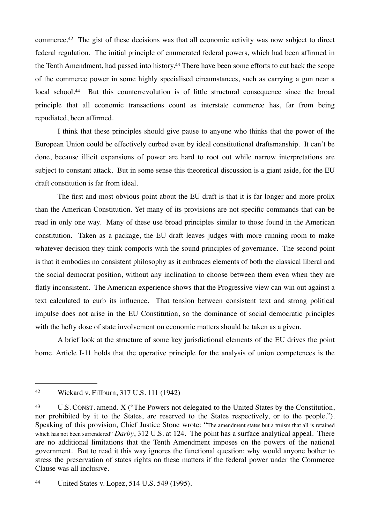commerce.[42](#page-27-0) The gist of these decisions was that all economic activity was now subject to direct federal regulation. The initial principle of enumerated federal powers, which had been affirmed in the Tenth Amendment, had passed into history.[43](#page-27-1) There have been some efforts to cut back the scope of the commerce power in some highly specialised circumstances, such as carrying a gun near a local school.<sup>44</sup> But this counterrevolution is of little structural consequence since the broad principle that all economic transactions count as interstate commerce has, far from being repudiated, been affirmed.

I think that these principles should give pause to anyone who thinks that the power of the European Union could be effectively curbed even by ideal constitutional draftsmanship. It can't be done, because illicit expansions of power are hard to root out while narrow interpretations are subject to constant attack. But in some sense this theoretical discussion is a giant aside, for the EU draft constitution is far from ideal.

The first and most obvious point about the EU draft is that it is far longer and more prolix than the American Constitution. Yet many of its provisions are not specific commands that can be read in only one way. Many of these use broad principles similar to those found in the American constitution. Taken as a package, the EU draft leaves judges with more running room to make whatever decision they think comports with the sound principles of governance. The second point is that it embodies no consistent philosophy as it embraces elements of both the classical liberal and the social democrat position, without any inclination to choose between them even when they are flatly inconsistent. The American experience shows that the Progressive view can win out against a text calculated to curb its influence. That tension between consistent text and strong political impulse does not arise in the EU Constitution, so the dominance of social democratic principles with the hefty dose of state involvement on economic matters should be taken as a given.

A brief look at the structure of some key jurisdictional elements of the EU drives the point home. Article I-11 holds that the operative principle for the analysis of union competences is the

<span id="page-27-0"></span><sup>42</sup> Wickard v. Fillburn, 317 U.S. 111 (1942)

<span id="page-27-1"></span><sup>43</sup> U.S. CONST. amend. X ("The Powers not delegated to the United States by the Constitution, nor prohibited by it to the States, are reserved to the States respectively, or to the people."). Speaking of this provision, Chief Justice Stone wrote: "The amendment states but a truism that all is retained which has not been surrendered" *Darby*, 312 U.S. at 124. The point has a surface analytical appeal. There are no additional limitations that the Tenth Amendment imposes on the powers of the national government. But to read it this way ignores the functional question: why would anyone bother to stress the preservation of states rights on these matters if the federal power under the Commerce Clause was all inclusive.

<span id="page-27-2"></span><sup>44</sup> United States v. Lopez, 514 U.S. 549 (1995).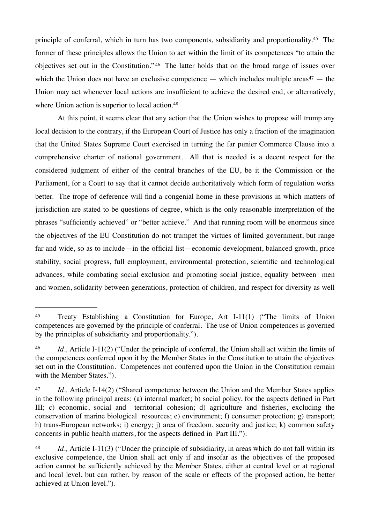principle of conferral, which in turn has two components, subsidiarity and proportionality.[45](#page-28-0) The former of these principles allows the Union to act within the limit of its competences "to attain the objectives set out in the Constitution." [46](#page-28-1) The latter holds that on the broad range of issues over which the Union does not have an exclusive competence — which includes multiple areas<sup>47</sup> — the Union may act whenever local actions are insufficient to achieve the desired end, or alternatively, where Union action is superior to local action.<sup>48</sup>

At this point, it seems clear that any action that the Union wishes to propose will trump any local decision to the contrary, if the European Court of Justice has only a fraction of the imagination that the United States Supreme Court exercised in turning the far punier Commerce Clause into a comprehensive charter of national government. All that is needed is a decent respect for the considered judgment of either of the central branches of the EU, be it the Commission or the Parliament, for a Court to say that it cannot decide authoritatively which form of regulation works better. The trope of deference will find a congenial home in these provisions in which matters of jurisdiction are stated to be questions of degree, which is the only reasonable interpretation of the phrases "sufficiently achieved" or "better achieve." And that running room will be enormous since the objectives of the EU Constitution do not trumpet the virtues of limited government, but range far and wide, so as to include—in the official list—economic development, balanced growth, price stability, social progress, full employment, environmental protection, scientific and technological advances, while combating social exclusion and promoting social justice, equality between men and women, solidarity between generations, protection of children, and respect for diversity as well

<span id="page-28-0"></span><sup>45</sup> Treaty Establishing a Constitution for Europe, Art I-11(1) ("The limits of Union competences are governed by the principle of conferral. The use of Union competences is governed by the principles of subsidiarity and proportionality.").

<span id="page-28-1"></span><sup>46</sup> *Id.,* Article I-11(2) ("Under the principle of conferral, the Union shall act within the limits of the competences conferred upon it by the Member States in the Constitution to attain the objectives set out in the Constitution. Competences not conferred upon the Union in the Constitution remain with the Member States.").

<span id="page-28-2"></span><sup>47</sup> *Id.,* Article I-14(2) ("Shared competence between the Union and the Member States applies in the following principal areas: (a) internal market; b) social policy, for the aspects defined in Part III; c) economic, social and territorial cohesion; d) agriculture and fisheries, excluding the conservation of marine biological resources; e) environment; f) consumer protection; g) transport; h) trans-European networks; i) energy; j) area of freedom, security and justice; k) common safety concerns in public health matters, for the aspects defined in Part III.").

<span id="page-28-3"></span><sup>48</sup> *Id.,* Article I-11(3) ("Under the principle of subsidiarity, in areas which do not fall within its exclusive competence, the Union shall act only if and insofar as the objectives of the proposed action cannot be sufficiently achieved by the Member States, either at central level or at regional and local level, but can rather, by reason of the scale or effects of the proposed action, be better achieved at Union level.").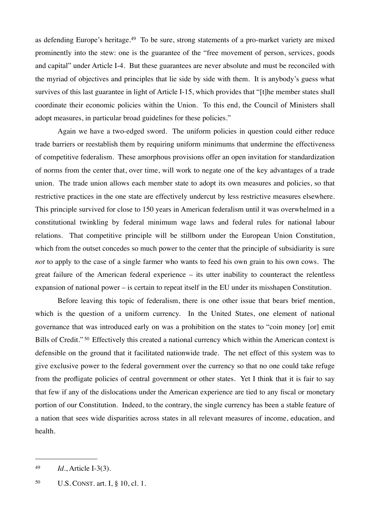as defending Europe's heritage.[49](#page-29-0) To be sure, strong statements of a pro-market variety are mixed prominently into the stew: one is the guarantee of the "free movement of person, services, goods and capital" under Article I-4. But these guarantees are never absolute and must be reconciled with the myriad of objectives and principles that lie side by side with them. It is anybody's guess what survives of this last guarantee in light of Article I-15, which provides that "[t]he member states shall coordinate their economic policies within the Union. To this end, the Council of Ministers shall adopt measures, in particular broad guidelines for these policies."

Again we have a two-edged sword. The uniform policies in question could either reduce trade barriers or reestablish them by requiring uniform minimums that undermine the effectiveness of competitive federalism. These amorphous provisions offer an open invitation for standardization of norms from the center that, over time, will work to negate one of the key advantages of a trade union. The trade union allows each member state to adopt its own measures and policies, so that restrictive practices in the one state are effectively undercut by less restrictive measures elsewhere. This principle survived for close to 150 years in American federalism until it was overwhelmed in a constitutional twinkling by federal minimum wage laws and federal rules for national labour relations. That competitive principle will be stillborn under the European Union Constitution, which from the outset concedes so much power to the center that the principle of subsidiarity is sure *not* to apply to the case of a single farmer who wants to feed his own grain to his own cows. The great failure of the American federal experience – its utter inability to counteract the relentless expansion of national power – is certain to repeat itself in the EU under its misshapen Constitution.

Before leaving this topic of federalism, there is one other issue that bears brief mention, which is the question of a uniform currency. In the United States, one element of national governance that was introduced early on was a prohibition on the states to "coin money [or] emit Bills of Credit."<sup>50</sup> Effectively this created a national currency which within the American context is defensible on the ground that it facilitated nationwide trade. The net effect of this system was to give exclusive power to the federal government over the currency so that no one could take refuge from the profligate policies of central government or other states. Yet I think that it is fair to say that few if any of the dislocations under the American experience are tied to any fiscal or monetary portion of our Constitution. Indeed, to the contrary, the single currency has been a stable feature of a nation that sees wide disparities across states in all relevant measures of income, education, and health.

<span id="page-29-0"></span><sup>49</sup> *Id.*, Article I-3(3).

<span id="page-29-1"></span><sup>50</sup> U.S. CONST. art. I, § 10, cl. 1.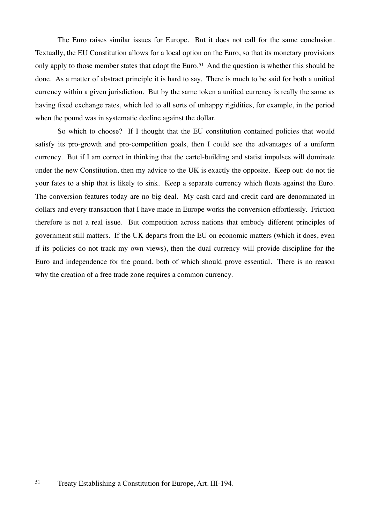The Euro raises similar issues for Europe. But it does not call for the same conclusion. Textually, the EU Constitution allows for a local option on the Euro, so that its monetary provisions only apply to those member states that adopt the Euro.<sup>51</sup> And the question is whether this should be done. As a matter of abstract principle it is hard to say. There is much to be said for both a unified currency within a given jurisdiction. But by the same token a unified currency is really the same as having fixed exchange rates, which led to all sorts of unhappy rigidities, for example, in the period when the pound was in systematic decline against the dollar.

So which to choose? If I thought that the EU constitution contained policies that would satisfy its pro-growth and pro-competition goals, then I could see the advantages of a uniform currency. But if I am correct in thinking that the cartel-building and statist impulses will dominate under the new Constitution, then my advice to the UK is exactly the opposite. Keep out: do not tie your fates to a ship that is likely to sink. Keep a separate currency which floats against the Euro. The conversion features today are no big deal. My cash card and credit card are denominated in dollars and every transaction that I have made in Europe works the conversion effortlessly. Friction therefore is not a real issue. But competition across nations that embody different principles of government still matters. If the UK departs from the EU on economic matters (which it does, even if its policies do not track my own views), then the dual currency will provide discipline for the Euro and independence for the pound, both of which should prove essential. There is no reason why the creation of a free trade zone requires a common currency.

<span id="page-30-0"></span><sup>51</sup> Treaty Establishing a Constitution for Europe, Art. III-194.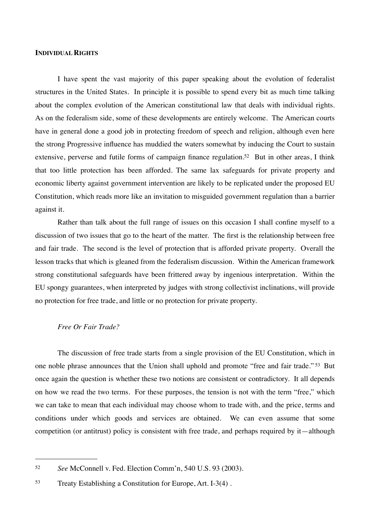#### **INDIVIDUAL RIGHTS**

I have spent the vast majority of this paper speaking about the evolution of federalist structures in the United States. In principle it is possible to spend every bit as much time talking about the complex evolution of the American constitutional law that deals with individual rights. As on the federalism side, some of these developments are entirely welcome. The American courts have in general done a good job in protecting freedom of speech and religion, although even here the strong Progressive influence has muddied the waters somewhat by inducing the Court to sustain extensive, perverse and futile forms of campaign finance regulation.<sup>52</sup> But in other areas, I think that too little protection has been afforded. The same lax safeguards for private property and economic liberty against government intervention are likely to be replicated under the proposed EU Constitution, which reads more like an invitation to misguided government regulation than a barrier against it.

Rather than talk about the full range of issues on this occasion I shall confine myself to a discussion of two issues that go to the heart of the matter. The first is the relationship between free and fair trade. The second is the level of protection that is afforded private property. Overall the lesson tracks that which is gleaned from the federalism discussion. Within the American framework strong constitutional safeguards have been frittered away by ingenious interpretation. Within the EU spongy guarantees, when interpreted by judges with strong collectivist inclinations, will provide no protection for free trade, and little or no protection for private property.

### *Free Or Fair Trade?*

The discussion of free trade starts from a single provision of the EU Constitution, which in one noble phrase announces that the Union shall uphold and promote "free and fair trade." [53](#page-31-1) But once again the question is whether these two notions are consistent or contradictory. It all depends on how we read the two terms. For these purposes, the tension is not with the term "free," which we can take to mean that each individual may choose whom to trade with, and the price, terms and conditions under which goods and services are obtained. We can even assume that some competition (or antitrust) policy is consistent with free trade, and perhaps required by it—although

<span id="page-31-0"></span><sup>52</sup> *See* McConnell v. Fed. Election Comm'n, 540 U.S. 93 (2003).

<span id="page-31-1"></span><sup>53</sup> Treaty Establishing a Constitution for Europe, Art. I-3(4) .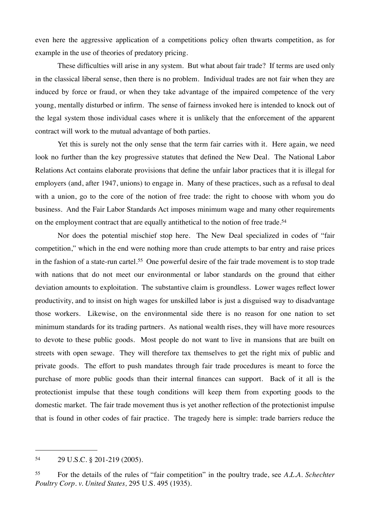even here the aggressive application of a competitions policy often thwarts competition, as for example in the use of theories of predatory pricing.

These difficulties will arise in any system. But what about fair trade? If terms are used only in the classical liberal sense, then there is no problem. Individual trades are not fair when they are induced by force or fraud, or when they take advantage of the impaired competence of the very young, mentally disturbed or infirm. The sense of fairness invoked here is intended to knock out of the legal system those individual cases where it is unlikely that the enforcement of the apparent contract will work to the mutual advantage of both parties.

Yet this is surely not the only sense that the term fair carries with it. Here again, we need look no further than the key progressive statutes that defined the New Deal. The National Labor Relations Act contains elaborate provisions that define the unfair labor practices that it is illegal for employers (and, after 1947, unions) to engage in. Many of these practices, such as a refusal to deal with a union, go to the core of the notion of free trade: the right to choose with whom you do business. And the Fair Labor Standards Act imposes minimum wage and many other requirements on the employment contract that are equally antithetical to the notion of free trade.<sup>[54](#page-32-0)</sup>

Nor does the potential mischief stop here. The New Deal specialized in codes of "fair competition," which in the end were nothing more than crude attempts to bar entry and raise prices in the fashion of a state-run cartel.[55](#page-32-1) One powerful desire of the fair trade movement is to stop trade with nations that do not meet our environmental or labor standards on the ground that either deviation amounts to exploitation. The substantive claim is groundless. Lower wages reflect lower productivity, and to insist on high wages for unskilled labor is just a disguised way to disadvantage those workers. Likewise, on the environmental side there is no reason for one nation to set minimum standards for its trading partners. As national wealth rises, they will have more resources to devote to these public goods. Most people do not want to live in mansions that are built on streets with open sewage. They will therefore tax themselves to get the right mix of public and private goods. The effort to push mandates through fair trade procedures is meant to force the purchase of more public goods than their internal finances can support. Back of it all is the protectionist impulse that these tough conditions will keep them from exporting goods to the domestic market. The fair trade movement thus is yet another reflection of the protectionist impulse that is found in other codes of fair practice. The tragedy here is simple: trade barriers reduce the

<span id="page-32-0"></span><sup>54</sup> 29 U.S.C. § 201-219 (2005).

<span id="page-32-1"></span><sup>55</sup> For the details of the rules of "fair competition" in the poultry trade, see *A.L.A. Schechter Poultry Corp. v. United States,* 295 U.S. 495 (1935).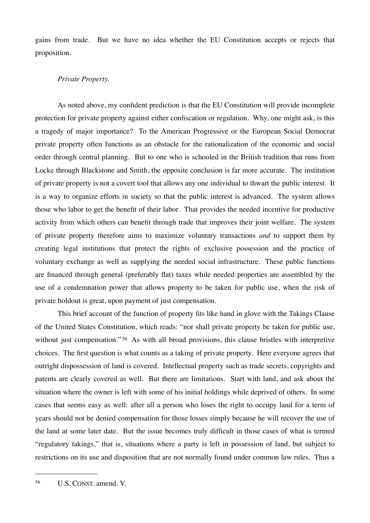gains from trade. But we have no idea whether the EU Constitution accepts or rejects that proposition.

# *Private Property.*

As noted above, my confident prediction is that the EU Constitution will provide incomplete protection for private property against either confiscation or regulation. Why, one might ask, is this a tragedy of major importance? To the American Progressive or the European Social Democrat private property often functions as an obstacle for the rationalization of the economic and social order through central planning. But to one who is schooled in the British tradition that runs from Locke through Blackstone and Smith, the opposite conclusion is far more accurate. The institution of private property is not a covert tool that allows any one individual to thwart the public interest. It is a way to organize efforts in society so that the public interest is advanced. The system allows those who labor to get the benefit of their labor. That provides the needed incentive for productive activity from which others can benefit through trade that improves their joint welfare. The system of private property therefore aims to maximize voluntary transactions *and* to support them by creating legal institutions that protect the rights of exclusive possession and the practice of voluntary exchange as well as supplying the needed social infrastructure. These public functions are financed through general (preferably flat) taxes while needed properties are assembled by the use of a condemnation power that allows property to be taken for public use, when the risk of private holdout is great, upon payment of just compensation.

This brief account of the function of property fits like hand in glove with the Takings Clause of the United States Constitution, which reads: "nor shall private property be taken for public use, without just compensation."<sup>56</sup> As with all broad provisions, this clause bristles with interpretive choices. The first question is what counts as a taking of private property. Here everyone agrees that outright dispossession of land is covered. Intellectual property such as trade secrets, copyrights and patents are clearly covered as well. But there are limitations. Start with land, and ask about the situation where the owner is left with some of his initial holdings while deprived of others. In some cases that seems easy as well: after all a person who loses the right to occupy land for a term of years should not be denied compensation for those losses simply because he will recover the use of the land at some later date. But the issue becomes truly difficult in those cases of what is termed "regulatory takings," that is, situations where a party is left in possession of land, but subject to restrictions on its use and disposition that are not normally found under common law rules. Thus a

<span id="page-33-0"></span><sup>56</sup> U.S. CONST. amend. V.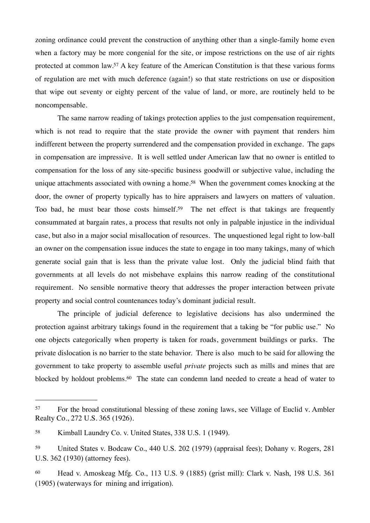zoning ordinance could prevent the construction of anything other than a single-family home even when a factory may be more congenial for the site, or impose restrictions on the use of air rights protected at common law.[57](#page-34-0) A key feature of the American Constitution is that these various forms of regulation are met with much deference (again!) so that state restrictions on use or disposition that wipe out seventy or eighty percent of the value of land, or more, are routinely held to be noncompensable.

The same narrow reading of takings protection applies to the just compensation requirement, which is not read to require that the state provide the owner with payment that renders him indifferent between the property surrendered and the compensation provided in exchange. The gaps in compensation are impressive. It is well settled under American law that no owner is entitled to compensation for the loss of any site-specific business goodwill or subjective value, including the unique attachments associated with owning a home.<sup>58</sup> When the government comes knocking at the door, the owner of property typically has to hire appraisers and lawyers on matters of valuation. Too bad, he must bear those costs himself.<sup>59</sup> The net effect is that takings are frequently consummated at bargain rates, a process that results not only in palpable injustice in the individual case, but also in a major social misallocation of resources. The unquestioned legal right to low-ball an owner on the compensation issue induces the state to engage in too many takings, many of which generate social gain that is less than the private value lost. Only the judicial blind faith that governments at all levels do not misbehave explains this narrow reading of the constitutional requirement. No sensible normative theory that addresses the proper interaction between private property and social control countenances today's dominant judicial result.

The principle of judicial deference to legislative decisions has also undermined the protection against arbitrary takings found in the requirement that a taking be "for public use." No one objects categorically when property is taken for roads, government buildings or parks. The private dislocation is no barrier to the state behavior. There is also much to be said for allowing the government to take property to assemble useful *private* projects such as mills and mines that are blocked by holdout problems.<sup>60</sup> The state can condemn land needed to create a head of water to

<span id="page-34-0"></span><sup>57</sup> For the broad constitutional blessing of these zoning laws, see Village of Euclid v. Ambler Realty Co., 272 U.S. 365 (1926).

<span id="page-34-1"></span><sup>58</sup> Kimball Laundry Co. v. United States, 338 U.S. 1 (1949).

<span id="page-34-2"></span><sup>59</sup> United States v. Bodcaw Co., 440 U.S. 202 (1979) (appraisal fees); Dohany v. Rogers, 281 U.S. 362 (1930) (attorney fees).

<span id="page-34-3"></span><sup>60</sup> Head v. Amoskeag Mfg. Co., 113 U.S. 9 (1885) (grist mill): Clark v. Nash, 198 U.S. 361 (1905) (waterways for mining and irrigation).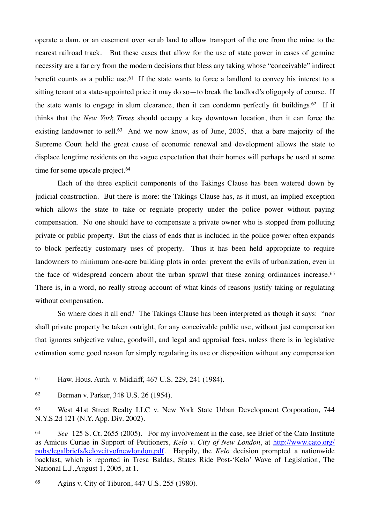operate a dam, or an easement over scrub land to allow transport of the ore from the mine to the nearest railroad track. But these cases that allow for the use of state power in cases of genuine necessity are a far cry from the modern decisions that bless any taking whose "conceivable" indirect benefit counts as a public use.<sup>61</sup> If the state wants to force a landlord to convey his interest to a sitting tenant at a state-appointed price it may do so—to break the landlord's oligopoly of course. If the state wants to engage in slum clearance, then it can condemn perfectly fit buildings[.62](#page-35-1) If it thinks that the *New York Times* should occupy a key downtown location, then it can force the existing landowner to sell.<sup>63</sup> And we now know, as of June, 2005, that a bare majority of the Supreme Court held the great cause of economic renewal and development allows the state to displace longtime residents on the vague expectation that their homes will perhaps be used at some time for some upscale project.<sup>[64](#page-35-3)</sup>

Each of the three explicit components of the Takings Clause has been watered down by judicial construction. But there is more: the Takings Clause has, as it must, an implied exception which allows the state to take or regulate property under the police power without paying compensation. No one should have to compensate a private owner who is stopped from polluting private or public property. But the class of ends that is included in the police power often expands to block perfectly customary uses of property. Thus it has been held appropriate to require landowners to minimum one-acre building plots in order prevent the evils of urbanization, even in the face of widespread concern about the urban sprawl that these zoning ordinances increase.<sup>[65](#page-35-4)</sup> There is, in a word, no really strong account of what kinds of reasons justify taking or regulating without compensation.

So where does it all end? The Takings Clause has been interpreted as though it says: "nor shall private property be taken outright, for any conceivable public use, without just compensation that ignores subjective value, goodwill, and legal and appraisal fees, unless there is in legislative estimation some good reason for simply regulating its use or disposition without any compensation

<span id="page-35-4"></span><sup>65</sup> Agins v. City of Tiburon, 447 U.S. 255 (1980).

<span id="page-35-0"></span><sup>61</sup> Haw. Hous. Auth. v. Midkiff, 467 U.S. 229, 241 (1984).

<span id="page-35-1"></span><sup>62</sup> Berman v. Parker, 348 U.S. 26 (1954).

<span id="page-35-2"></span><sup>63</sup> West 41st Street Realty LLC v. New York State Urban Development Corporation, 744 N.Y.S.2d 121 (N.Y. App. Div. 2002).

<span id="page-35-3"></span><sup>64</sup> *See* 125 S. Ct. 2655 (2005). For my involvement in the case, see Brief of the Cato Institute as Amicus Curiae in Support of Petitioners, *Kelo v. City of New London*, at [http://www.cato.org/](http://www.cato.org/pubs/legalbriefs/kelovcityofnewlondon.pdf) [pubs/legalbriefs/kelovcityofnewlondon.pdf.](http://www.cato.org/pubs/legalbriefs/kelovcityofnewlondon.pdf) Happily, the *Kelo* decision prompted a nationwide backlast, which is reported in Tresa Baldas, States Ride Post-'Kelo' Wave of Legislation, The National L.J.,August 1, 2005, at 1.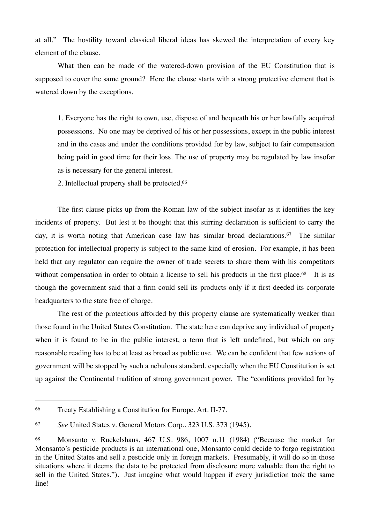at all." The hostility toward classical liberal ideas has skewed the interpretation of every key element of the clause.

What then can be made of the watered-down provision of the EU Constitution that is supposed to cover the same ground? Here the clause starts with a strong protective element that is watered down by the exceptions.

1. Everyone has the right to own, use, dispose of and bequeath his or her lawfully acquired possessions. No one may be deprived of his or her possessions, except in the public interest and in the cases and under the conditions provided for by law, subject to fair compensation being paid in good time for their loss. The use of property may be regulated by law insofar as is necessary for the general interest.

2. Intellectual property shall be protected.[66](#page-36-0)

The first clause picks up from the Roman law of the subject insofar as it identifies the key incidents of property. But lest it be thought that this stirring declaration is sufficient to carry the day, it is worth noting that American case law has similar broad declarations.<sup>67</sup> The similar protection for intellectual property is subject to the same kind of erosion. For example, it has been held that any regulator can require the owner of trade secrets to share them with his competitors without compensation in order to obtain a license to sell his products in the first place.<sup>68</sup> It is as though the government said that a firm could sell its products only if it first deeded its corporate headquarters to the state free of charge.

The rest of the protections afforded by this property clause are systematically weaker than those found in the United States Constitution. The state here can deprive any individual of property when it is found to be in the public interest, a term that is left undefined, but which on any reasonable reading has to be at least as broad as public use. We can be confident that few actions of government will be stopped by such a nebulous standard, especially when the EU Constitution is set up against the Continental tradition of strong government power. The "conditions provided for by

<span id="page-36-0"></span><sup>66</sup> Treaty Establishing a Constitution for Europe, Art. II-77.

<span id="page-36-1"></span><sup>67</sup> *See* United States v. General Motors Corp., 323 U.S. 373 (1945).

<span id="page-36-2"></span><sup>68</sup> Monsanto v. Ruckelshaus, 467 U.S. 986, 1007 n.11 (1984) ("Because the market for Monsanto's pesticide products is an international one, Monsanto could decide to forgo registration in the United States and sell a pesticide only in foreign markets. Presumably, it will do so in those situations where it deems the data to be protected from disclosure more valuable than the right to sell in the United States."). Just imagine what would happen if every jurisdiction took the same line!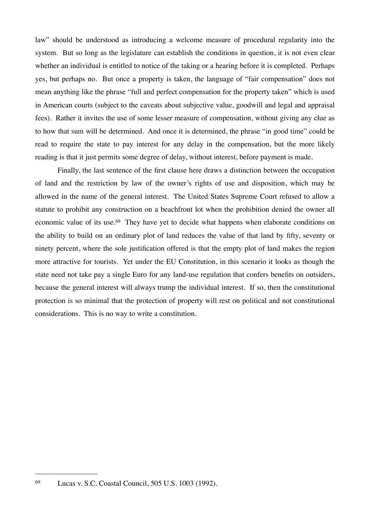law" should be understood as introducing a welcome measure of procedural regularity into the system. But so long as the legislature can establish the conditions in question, it is not even clear whether an individual is entitled to notice of the taking or a hearing before it is completed. Perhaps yes, but perhaps no. But once a property is taken, the language of "fair compensation" does not mean anything like the phrase "full and perfect compensation for the property taken" which is used in American courts (subject to the caveats about subjective value, goodwill and legal and appraisal fees). Rather it invites the use of some lesser measure of compensation, without giving any clue as to how that sum will be determined. And once it is determined, the phrase "in good time" could be read to require the state to pay interest for any delay in the compensation, but the more likely reading is that it just permits some degree of delay, without interest, before payment is made.

Finally, the last sentence of the first clause here draws a distinction between the occupation of land and the restriction by law of the owner's rights of use and disposition, which may be allowed in the name of the general interest. The United States Supreme Court refused to allow a statute to prohibit any construction on a beachfront lot when the prohibition denied the owner all economic value of its use.<sup>69</sup> They have yet to decide what happens when elaborate conditions on the ability to build on an ordinary plot of land reduces the value of that land by fifty, seventy or ninety percent, where the sole justification offered is that the empty plot of land makes the region more attractive for tourists. Yet under the EU Constitution, in this scenario it looks as though the state need not take pay a single Euro for any land-use regulation that confers benefits on outsiders, because the general interest will always trump the individual interest. If so, then the constitutional protection is so minimal that the protection of property will rest on political and not constitutional considerations. This is no way to write a constitution.

<span id="page-37-0"></span><sup>69</sup> Lucas v. S.C. Coastal Council, 505 U.S. 1003 (1992).